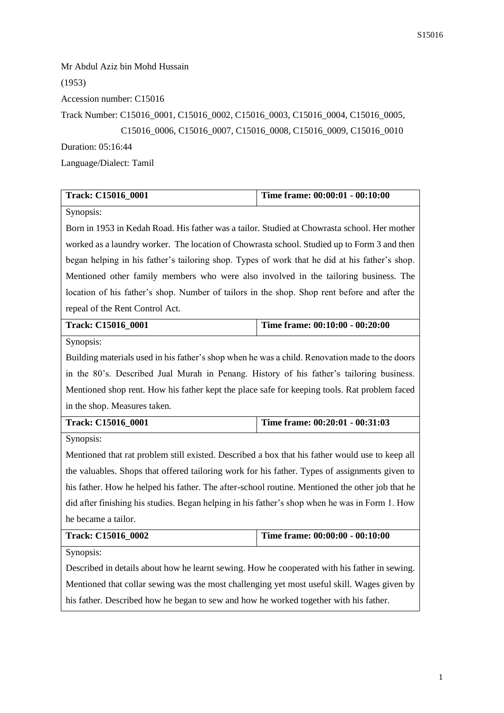Mr Abdul Aziz bin Mohd Hussain (1953) Accession number: C15016 Track Number: C15016\_0001, C15016\_0002, C15016\_0003, C15016\_0004, C15016\_0005, C15016\_0006, C15016\_0007, C15016\_0008, C15016\_0009, C15016\_0010 Duration: 05:16:44 Language/Dialect: Tamil

| Track: C15016_0001                                                                              | Time frame: 00:00:01 - 00:10:00 |  |
|-------------------------------------------------------------------------------------------------|---------------------------------|--|
| Synopsis:                                                                                       |                                 |  |
| Born in 1953 in Kedah Road. His father was a tailor. Studied at Chowrasta school. Her mother    |                                 |  |
| worked as a laundry worker. The location of Chowrasta school. Studied up to Form 3 and then     |                                 |  |
| began helping in his father's tailoring shop. Types of work that he did at his father's shop.   |                                 |  |
| Mentioned other family members who were also involved in the tailoring business. The            |                                 |  |
| location of his father's shop. Number of tailors in the shop. Shop rent before and after the    |                                 |  |
| repeal of the Rent Control Act.                                                                 |                                 |  |
| Track: C15016_0001                                                                              | Time frame: 00:10:00 - 00:20:00 |  |
| Synopsis:                                                                                       |                                 |  |
| Building materials used in his father's shop when he was a child. Renovation made to the doors  |                                 |  |
| in the 80's. Described Jual Murah in Penang. History of his father's tailoring business.        |                                 |  |
| Mentioned shop rent. How his father kept the place safe for keeping tools. Rat problem faced    |                                 |  |
| in the shop. Measures taken.                                                                    |                                 |  |
| Track: C15016_0001                                                                              | Time frame: 00:20:01 - 00:31:03 |  |
| Synopsis:                                                                                       |                                 |  |
| Mentioned that rat problem still existed. Described a box that his father would use to keep all |                                 |  |
| the valuables. Shops that offered tailoring work for his father. Types of assignments given to  |                                 |  |
| his father. How he helped his father. The after-school routine. Mentioned the other job that he |                                 |  |
| did after finishing his studies. Began helping in his father's shop when he was in Form 1. How  |                                 |  |
| he became a tailor.                                                                             |                                 |  |
| Track: C15016_0002                                                                              | Time frame: 00:00:00 - 00:10:00 |  |
| Synopsis:                                                                                       |                                 |  |
| Described in details about how he learnt sewing. How he cooperated with his father in sewing.   |                                 |  |
| Mentioned that collar sewing was the most challenging yet most useful skill. Wages given by     |                                 |  |

his father. Described how he began to sew and how he worked together with his father.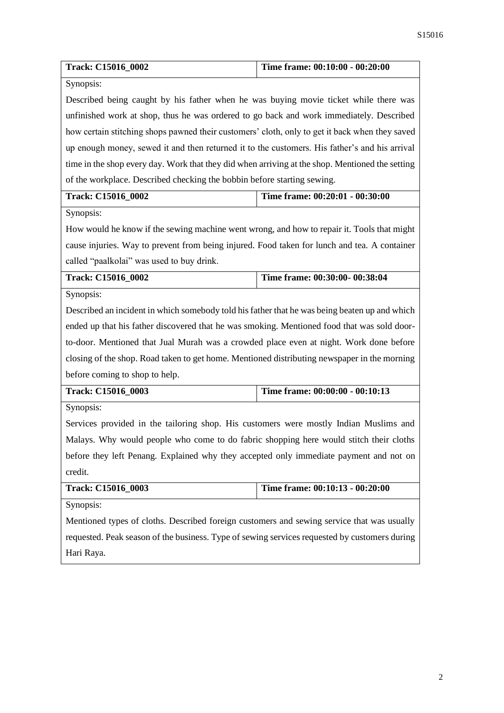| Track: C15016_0002                                                                             | Time frame: 00:10:00 - 00:20:00                                                                 |  |
|------------------------------------------------------------------------------------------------|-------------------------------------------------------------------------------------------------|--|
| Synopsis:                                                                                      |                                                                                                 |  |
| Described being caught by his father when he was buying movie ticket while there was           |                                                                                                 |  |
| unfinished work at shop, thus he was ordered to go back and work immediately. Described        |                                                                                                 |  |
| how certain stitching shops pawned their customers' cloth, only to get it back when they saved |                                                                                                 |  |
| up enough money, sewed it and then returned it to the customers. His father's and his arrival  |                                                                                                 |  |
|                                                                                                | time in the shop every day. Work that they did when arriving at the shop. Mentioned the setting |  |
| of the workplace. Described checking the bobbin before starting sewing.                        |                                                                                                 |  |
| Track: C15016_0002                                                                             | Time frame: 00:20:01 - 00:30:00                                                                 |  |
| Synopsis:                                                                                      |                                                                                                 |  |
| How would he know if the sewing machine went wrong, and how to repair it. Tools that might     |                                                                                                 |  |
| cause injuries. Way to prevent from being injured. Food taken for lunch and tea. A container   |                                                                                                 |  |
| called "paalkolai" was used to buy drink.                                                      |                                                                                                 |  |
| Track: C15016_0002                                                                             | Time frame: 00:30:00- 00:38:04                                                                  |  |
| Synopsis:                                                                                      |                                                                                                 |  |
| Described an incident in which somebody told his father that he was being beaten up and which  |                                                                                                 |  |
| ended up that his father discovered that he was smoking. Mentioned food that was sold door-    |                                                                                                 |  |
| to-door. Mentioned that Jual Murah was a crowded place even at night. Work done before         |                                                                                                 |  |
| closing of the shop. Road taken to get home. Mentioned distributing newspaper in the morning   |                                                                                                 |  |
| before coming to shop to help.                                                                 |                                                                                                 |  |
| Track: C15016_0003                                                                             | Time frame: 00:00:00 - 00:10:13                                                                 |  |
| Synopsis:                                                                                      |                                                                                                 |  |
| Services provided in the tailoring shop. His customers were mostly Indian Muslims and          |                                                                                                 |  |
| Malays. Why would people who come to do fabric shopping here would stitch their cloths         |                                                                                                 |  |
| before they left Penang. Explained why they accepted only immediate payment and not on         |                                                                                                 |  |
| credit.                                                                                        |                                                                                                 |  |
| Track: C15016_0003                                                                             | Time frame: 00:10:13 - 00:20:00                                                                 |  |
| Synopsis:                                                                                      |                                                                                                 |  |
| Mentioned types of cloths. Described foreign customers and sewing service that was usually     |                                                                                                 |  |
| requested. Peak season of the business. Type of sewing services requested by customers during  |                                                                                                 |  |
| Hari Raya.                                                                                     |                                                                                                 |  |
|                                                                                                |                                                                                                 |  |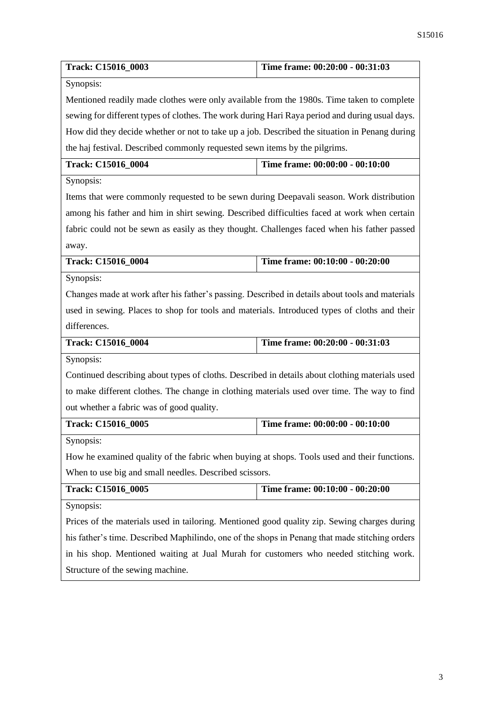| Track: C15016_0003                                                                              | Time frame: 00:20:00 - 00:31:03 |  |
|-------------------------------------------------------------------------------------------------|---------------------------------|--|
| Synopsis:                                                                                       |                                 |  |
| Mentioned readily made clothes were only available from the 1980s. Time taken to complete       |                                 |  |
| sewing for different types of clothes. The work during Hari Raya period and during usual days.  |                                 |  |
| How did they decide whether or not to take up a job. Described the situation in Penang during   |                                 |  |
| the haj festival. Described commonly requested sewn items by the pilgrims.                      |                                 |  |
| Track: C15016_0004                                                                              | Time frame: 00:00:00 - 00:10:00 |  |
| Synopsis:                                                                                       |                                 |  |
| Items that were commonly requested to be sewn during Deepavali season. Work distribution        |                                 |  |
| among his father and him in shirt sewing. Described difficulties faced at work when certain     |                                 |  |
| fabric could not be sewn as easily as they thought. Challenges faced when his father passed     |                                 |  |
| away.                                                                                           |                                 |  |
| Track: C15016_0004                                                                              | Time frame: 00:10:00 - 00:20:00 |  |
| Synopsis:                                                                                       |                                 |  |
| Changes made at work after his father's passing. Described in details about tools and materials |                                 |  |
| used in sewing. Places to shop for tools and materials. Introduced types of cloths and their    |                                 |  |
| differences.                                                                                    |                                 |  |
| Track: C15016_0004                                                                              | Time frame: 00:20:00 - 00:31:03 |  |
| Synopsis:                                                                                       |                                 |  |
| Continued describing about types of cloths. Described in details about clothing materials used  |                                 |  |
| to make different clothes. The change in clothing materials used over time. The way to find     |                                 |  |
| out whether a fabric was of good quality.                                                       |                                 |  |
| Track: C15016_0005                                                                              | Time frame: 00:00:00 - 00:10:00 |  |
| Synopsis:                                                                                       |                                 |  |
| How he examined quality of the fabric when buying at shops. Tools used and their functions.     |                                 |  |
| When to use big and small needles. Described scissors.                                          |                                 |  |
| Track: C15016_0005                                                                              | Time frame: 00:10:00 - 00:20:00 |  |
| Synopsis:                                                                                       |                                 |  |
| Prices of the materials used in tailoring. Mentioned good quality zip. Sewing charges during    |                                 |  |
| his father's time. Described Maphilindo, one of the shops in Penang that made stitching orders  |                                 |  |
| in his shop. Mentioned waiting at Jual Murah for customers who needed stitching work.           |                                 |  |
| Structure of the sewing machine.                                                                |                                 |  |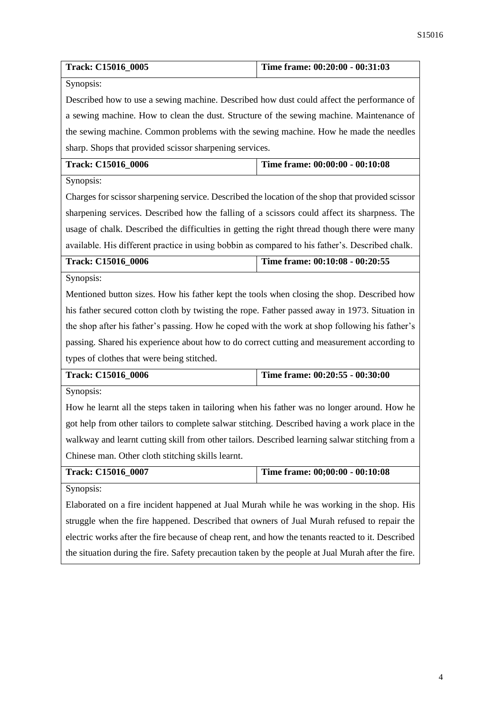| Track: C15016_0005                                                                                 | Time frame: 00:20:00 - 00:31:03 |  |
|----------------------------------------------------------------------------------------------------|---------------------------------|--|
| Synopsis:                                                                                          |                                 |  |
| Described how to use a sewing machine. Described how dust could affect the performance of          |                                 |  |
| a sewing machine. How to clean the dust. Structure of the sewing machine. Maintenance of           |                                 |  |
| the sewing machine. Common problems with the sewing machine. How he made the needles               |                                 |  |
| sharp. Shops that provided scissor sharpening services.                                            |                                 |  |
| Track: C15016_0006                                                                                 | Time frame: 00:00:00 - 00:10:08 |  |
| Synopsis:                                                                                          |                                 |  |
| Charges for scissor sharpening service. Described the location of the shop that provided scissor   |                                 |  |
| sharpening services. Described how the falling of a scissors could affect its sharpness. The       |                                 |  |
| usage of chalk. Described the difficulties in getting the right thread though there were many      |                                 |  |
| available. His different practice in using bobbin as compared to his father's. Described chalk.    |                                 |  |
| Track: C15016_0006                                                                                 | Time frame: 00:10:08 - 00:20:55 |  |
| Synopsis:                                                                                          |                                 |  |
| Mentioned button sizes. How his father kept the tools when closing the shop. Described how         |                                 |  |
| his father secured cotton cloth by twisting the rope. Father passed away in 1973. Situation in     |                                 |  |
| the shop after his father's passing. How he coped with the work at shop following his father's     |                                 |  |
| passing. Shared his experience about how to do correct cutting and measurement according to        |                                 |  |
| types of clothes that were being stitched.                                                         |                                 |  |
| Track: C15016_0006                                                                                 | Time frame: 00:20:55 - 00:30:00 |  |
| Synopsis:                                                                                          |                                 |  |
| How he learnt all the steps taken in tailoring when his father was no longer around. How he        |                                 |  |
| got help from other tailors to complete salwar stitching. Described having a work place in the     |                                 |  |
| walkway and learnt cutting skill from other tailors. Described learning salwar stitching from a    |                                 |  |
| Chinese man. Other cloth stitching skills learnt.                                                  |                                 |  |
| Track: C15016_0007                                                                                 | Time frame: 00;00:00 - 00:10:08 |  |
| Synopsis:                                                                                          |                                 |  |
| Elaborated on a fire incident happened at Jual Murah while he was working in the shop. His         |                                 |  |
| struggle when the fire happened. Described that owners of Jual Murah refused to repair the         |                                 |  |
| electric works after the fire because of cheap rent, and how the tenants reacted to it. Described  |                                 |  |
| the situation during the fire. Safety precaution taken by the people at Jual Murah after the fire. |                                 |  |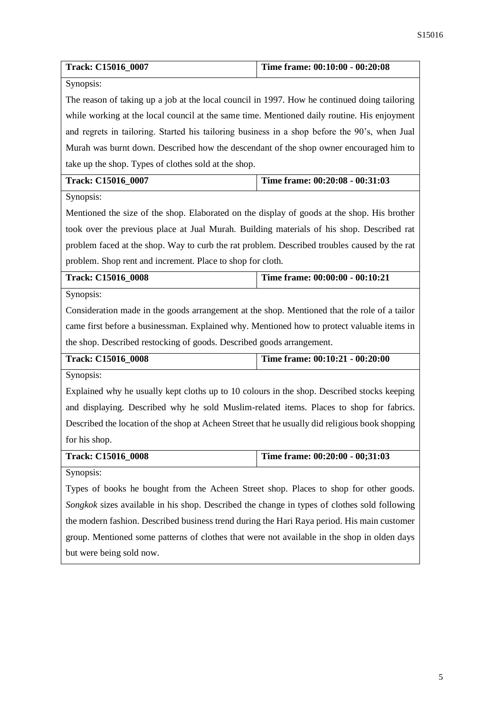| Track: C15016_0007                                                                              | Time frame: 00:10:00 - 00:20:08 |  |  |
|-------------------------------------------------------------------------------------------------|---------------------------------|--|--|
| Synopsis:                                                                                       |                                 |  |  |
| The reason of taking up a job at the local council in 1997. How he continued doing tailoring    |                                 |  |  |
| while working at the local council at the same time. Mentioned daily routine. His enjoyment     |                                 |  |  |
| and regrets in tailoring. Started his tailoring business in a shop before the 90's, when Jual   |                                 |  |  |
| Murah was burnt down. Described how the descendant of the shop owner encouraged him to          |                                 |  |  |
| take up the shop. Types of clothes sold at the shop.                                            |                                 |  |  |
| Track: C15016_0007                                                                              | Time frame: 00:20:08 - 00:31:03 |  |  |
| Synopsis:                                                                                       |                                 |  |  |
| Mentioned the size of the shop. Elaborated on the display of goods at the shop. His brother     |                                 |  |  |
| took over the previous place at Jual Murah. Building materials of his shop. Described rat       |                                 |  |  |
| problem faced at the shop. Way to curb the rat problem. Described troubles caused by the rat    |                                 |  |  |
| problem. Shop rent and increment. Place to shop for cloth.                                      |                                 |  |  |
| Track: C15016_0008                                                                              | Time frame: 00:00:00 - 00:10:21 |  |  |
| Synopsis:                                                                                       |                                 |  |  |
| Consideration made in the goods arrangement at the shop. Mentioned that the role of a tailor    |                                 |  |  |
| came first before a businessman. Explained why. Mentioned how to protect valuable items in      |                                 |  |  |
| the shop. Described restocking of goods. Described goods arrangement.                           |                                 |  |  |
| Track: C15016_0008                                                                              | Time frame: 00:10:21 - 00:20:00 |  |  |
| Synopsis:                                                                                       |                                 |  |  |
| Explained why he usually kept cloths up to 10 colours in the shop. Described stocks keeping     |                                 |  |  |
| and displaying. Described why he sold Muslim-related items. Places to shop for fabrics.         |                                 |  |  |
| Described the location of the shop at Acheen Street that he usually did religious book shopping |                                 |  |  |
| for his shop.                                                                                   |                                 |  |  |
| Track: C15016_0008                                                                              | Time frame: 00:20:00 - 00;31:03 |  |  |
| Synopsis:                                                                                       |                                 |  |  |
| Types of books he bought from the Acheen Street shop. Places to shop for other goods.           |                                 |  |  |
| Songkok sizes available in his shop. Described the change in types of clothes sold following    |                                 |  |  |
| the modern fashion. Described business trend during the Hari Raya period. His main customer     |                                 |  |  |
| group. Mentioned some patterns of clothes that were not available in the shop in olden days     |                                 |  |  |
| but were being sold now.                                                                        |                                 |  |  |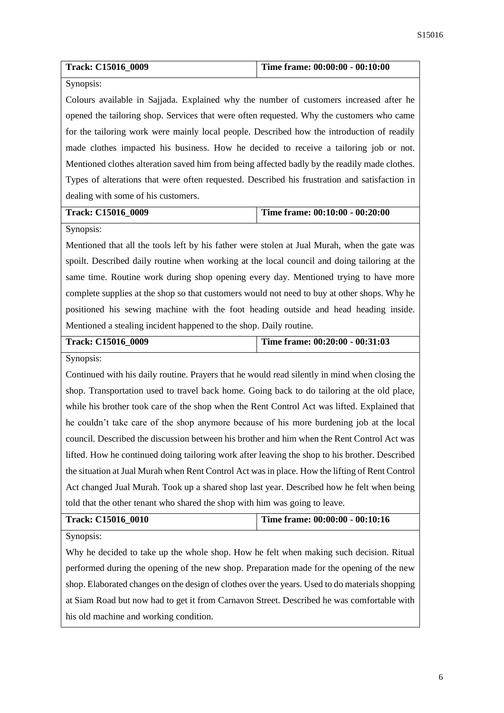| Track: C15016_0009                                                                              | Time frame: 00:00:00 - 00:10:00 |  |
|-------------------------------------------------------------------------------------------------|---------------------------------|--|
| Synopsis:                                                                                       |                                 |  |
| Colours available in Sajjada. Explained why the number of customers increased after he          |                                 |  |
| opened the tailoring shop. Services that were often requested. Why the customers who came       |                                 |  |
| for the tailoring work were mainly local people. Described how the introduction of readily      |                                 |  |
| made clothes impacted his business. How he decided to receive a tailoring job or not.           |                                 |  |
| Mentioned clothes alteration saved him from being affected badly by the readily made clothes.   |                                 |  |
| Types of alterations that were often requested. Described his frustration and satisfaction in   |                                 |  |
| dealing with some of his customers.                                                             |                                 |  |
| Track: C15016_0009                                                                              | Time frame: 00:10:00 - 00:20:00 |  |
| Synopsis:                                                                                       |                                 |  |
| Mentioned that all the tools left by his father were stolen at Jual Murah, when the gate was    |                                 |  |
| spoilt. Described daily routine when working at the local council and doing tailoring at the    |                                 |  |
| same time. Routine work during shop opening every day. Mentioned trying to have more            |                                 |  |
| complete supplies at the shop so that customers would not need to buy at other shops. Why he    |                                 |  |
| positioned his sewing machine with the foot heading outside and head heading inside.            |                                 |  |
| Mentioned a stealing incident happened to the shop. Daily routine.                              |                                 |  |
|                                                                                                 |                                 |  |
| Track: C15016_0009                                                                              | Time frame: 00:20:00 - 00:31:03 |  |
| Synopsis:                                                                                       |                                 |  |
| Continued with his daily routine. Prayers that he would read silently in mind when closing the  |                                 |  |
| shop. Transportation used to travel back home. Going back to do tailoring at the old place,     |                                 |  |
| while his brother took care of the shop when the Rent Control Act was lifted. Explained that    |                                 |  |
| he couldn't take care of the shop anymore because of his more burdening job at the local        |                                 |  |
| council. Described the discussion between his brother and him when the Rent Control Act was     |                                 |  |
| lifted. How he continued doing tailoring work after leaving the shop to his brother. Described  |                                 |  |
| the situation at Jual Murah when Rent Control Act was in place. How the lifting of Rent Control |                                 |  |
| Act changed Jual Murah. Took up a shared shop last year. Described how he felt when being       |                                 |  |
| told that the other tenant who shared the shop with him was going to leave.                     |                                 |  |
| Track: C15016_0010                                                                              | Time frame: 00:00:00 - 00:10:16 |  |
| Synopsis:                                                                                       |                                 |  |
| Why he decided to take up the whole shop. How he felt when making such decision. Ritual         |                                 |  |
| performed during the opening of the new shop. Preparation made for the opening of the new       |                                 |  |

at Siam Road but now had to get it from Carnavon Street. Described he was comfortable with his old machine and working condition.